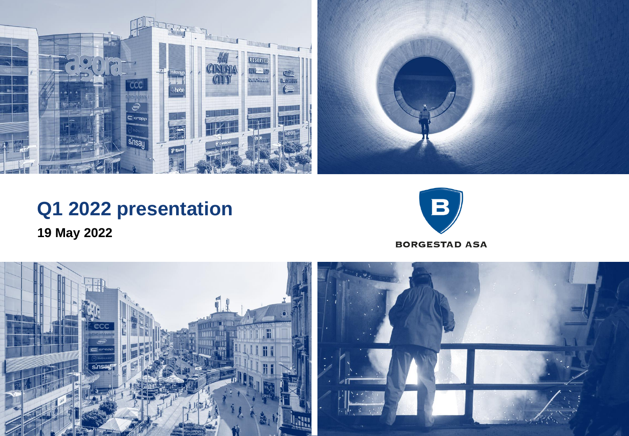

# **Q1 2022 presentation 19 May 2022**



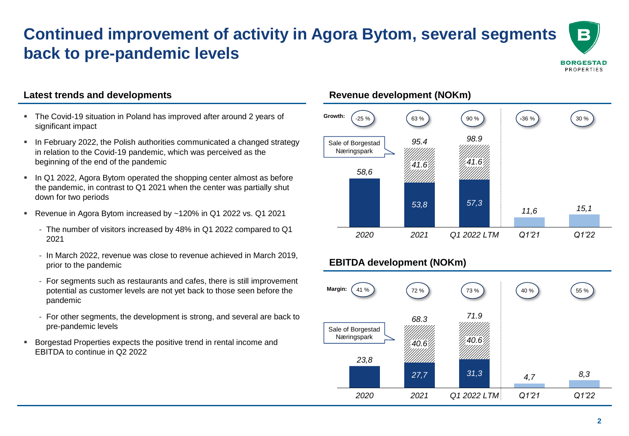# **Continued improvement of activity in Agora Bytom, several segments back to pre-pandemic levels**

**BORGESTAD** PROPERTIES

B

#### **Latest trends and developments**

- The Covid-19 situation in Poland has improved after around 2 years of significant impact
- **EXEDENTIFY 1982** In February 2022, the Polish authorities communicated a changed strategy in relation to the Covid-19 pandemic, which was perceived as the beginning of the end of the pandemic
- In Q1 2022, Agora Bytom operated the shopping center almost as before the pandemic, in contrast to Q1 2021 when the center was partially shut down for two periods
- Revenue in Agora Bytom increased by ~120% in Q1 2022 vs. Q1 2021
	- The number of visitors increased by 48% in Q1 2022 compared to Q1 2021
	- In March 2022, revenue was close to revenue achieved in March 2019, prior to the pandemic
	- For segments such as restaurants and cafes, there is still improvement potential as customer levels are not yet back to those seen before the pandemic
	- For other segments, the development is strong, and several are back to pre-pandemic levels
- Borgestad Properties expects the positive trend in rental income and EBITDA to continue in Q2 2022

### **Revenue development (NOKm)**



## **EBITDA development (NOKm)**

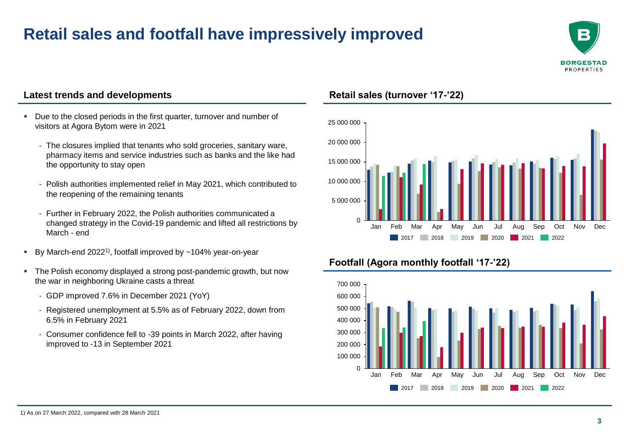# **Retail sales and footfall have impressively improved**



#### **Latest trends and developments**

- Due to the closed periods in the first quarter, turnover and number of visitors at Agora Bytom were in 2021
	- The closures implied that tenants who sold groceries, sanitary ware, pharmacy items and service industries such as banks and the like had the opportunity to stay open
	- Polish authorities implemented relief in May 2021, which contributed to the reopening of the remaining tenants
	- Further in February 2022, the Polish authorities communicated a changed strategy in the Covid-19 pandemic and lifted all restrictions by March - end
- **By March-end 2022<sup>1)</sup>, footfall improved by ~104% year-on-year**
- The Polish economy displayed a strong post-pandemic growth, but now the war in neighboring Ukraine casts a threat
	- GDP improved 7.6% in December 2021 (YoY)
	- Registered unemployment at 5.5% as of February 2022, down from 6.5% in February 2021
	- Consumer confidence fell to -39 points in March 2022, after having improved to -13 in September 2021

#### **Retail sales (turnover '17-'22)**



### **Footfall (Agora monthly footfall '17-'22)**

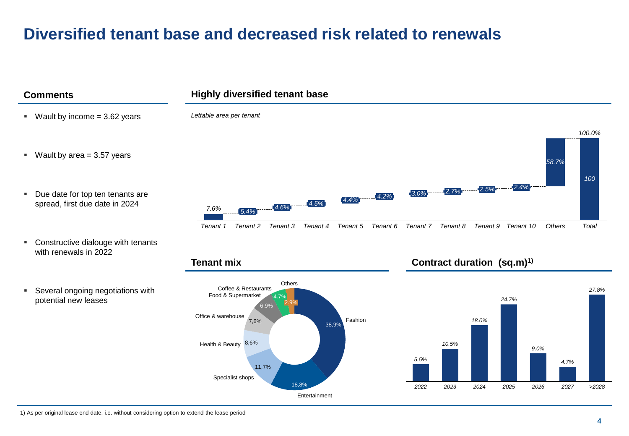# **Diversified tenant base and decreased risk related to renewals**



18,8%

Entertainment

Specialist shops

*2022 2023 2024 2025 2026 2027 >2028*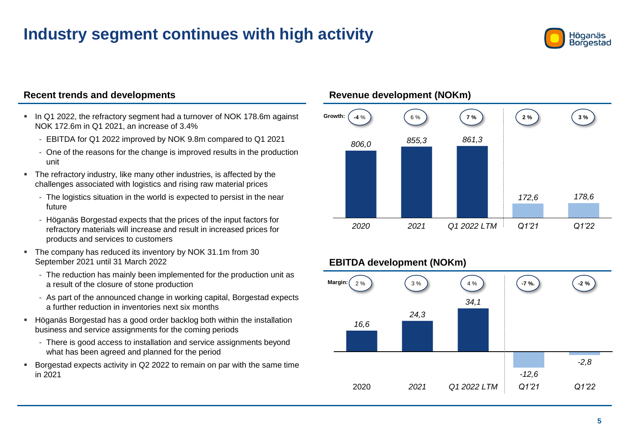# **Industry segment continues with high activity**



#### **Recent trends and developments**

- In Q1 2022, the refractory segment had a turnover of NOK 178.6m against NOK 172.6m in Q1 2021, an increase of 3.4%
	- EBITDA for Q1 2022 improved by NOK 9.8m compared to Q1 2021
	- One of the reasons for the change is improved results in the production unit
- The refractory industry, like many other industries, is affected by the challenges associated with logistics and rising raw material prices
	- The logistics situation in the world is expected to persist in the near future
	- Höganäs Borgestad expects that the prices of the input factors for refractory materials will increase and result in increased prices for products and services to customers
- The company has reduced its inventory by NOK 31.1m from 30 September 2021 until 31 March 2022
	- The reduction has mainly been implemented for the production unit as a result of the closure of stone production
	- As part of the announced change in working capital, Borgestad expects a further reduction in inventories next six months
- Höganäs Borgestad has a good order backlog both within the installation business and service assignments for the coming periods
	- There is good access to installation and service assignments beyond what has been agreed and planned for the period
- Borgestad expects activity in Q2 2022 to remain on par with the same time in 2021

#### **Revenue development (NOKm)**



### **EBITDA development (NOKm)**

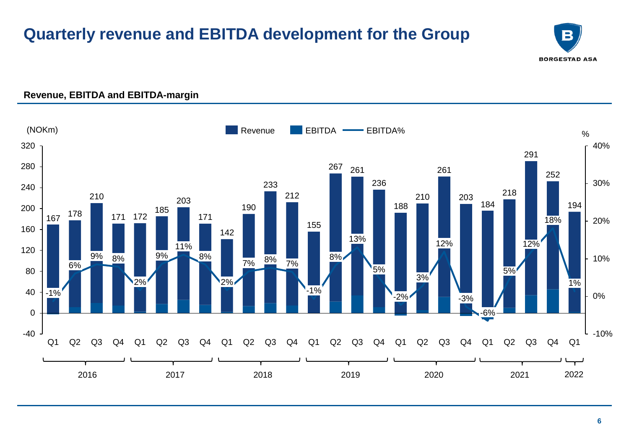# **Quarterly revenue and EBITDA development for the Group**





### **Revenue, EBITDA and EBITDA-margin**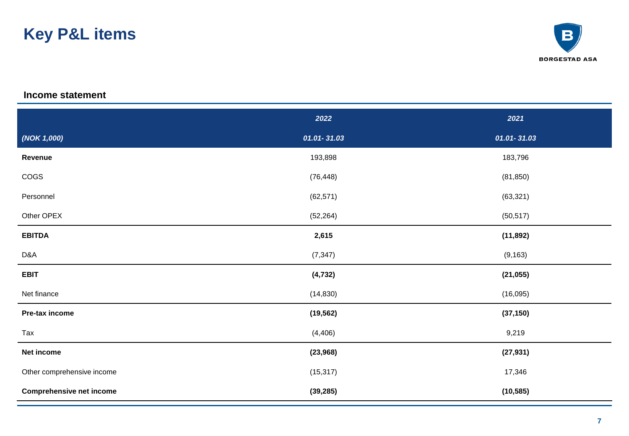# **Key P&L items**



#### **Income statement**

|                                 | 2022            | 2021            |
|---------------------------------|-----------------|-----------------|
| (NOK 1,000)                     | $01.01 - 31.03$ | $01.01 - 31.03$ |
| Revenue                         | 193,898         | 183,796         |
| COGS                            | (76, 448)       | (81, 850)       |
| Personnel                       | (62, 571)       | (63, 321)       |
| Other OPEX                      | (52, 264)       | (50, 517)       |
| <b>EBITDA</b>                   | 2,615           | (11, 892)       |
| D&A                             | (7, 347)        | (9, 163)        |
| <b>EBIT</b>                     | (4, 732)        | (21, 055)       |
| Net finance                     | (14, 830)       | (16,095)        |
| Pre-tax income                  | (19, 562)       | (37, 150)       |
| Tax                             | (4, 406)        | 9,219           |
| Net income                      | (23, 968)       | (27, 931)       |
| Other comprehensive income      | (15, 317)       | 17,346          |
| <b>Comprehensive net income</b> | (39, 285)       | (10, 585)       |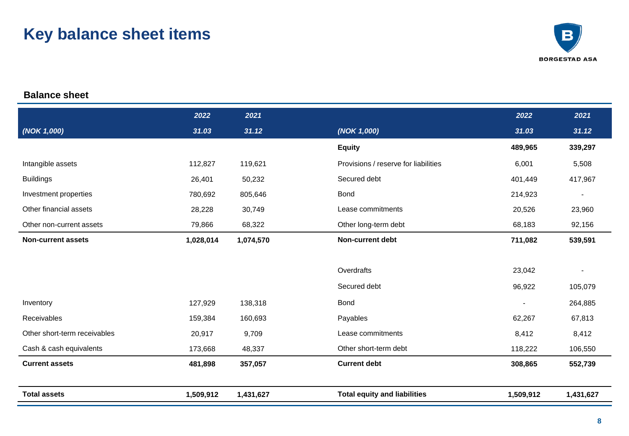# **Key balance sheet items**



### **Balance sheet**

|                              | 2022      | 2021      |                                      | 2022                     | 2021                     |
|------------------------------|-----------|-----------|--------------------------------------|--------------------------|--------------------------|
| (NOK 1,000)                  | 31.03     | 31.12     | (NOK 1,000)                          | 31.03                    | 31.12                    |
|                              |           |           | <b>Equity</b>                        | 489,965                  | 339,297                  |
| Intangible assets            | 112,827   | 119,621   | Provisions / reserve for liabilities | 6,001                    | 5,508                    |
| <b>Buildings</b>             | 26,401    | 50,232    | Secured debt                         | 401,449                  | 417,967                  |
| Investment properties        | 780,692   | 805,646   | <b>Bond</b>                          | 214,923                  | $\overline{\phantom{a}}$ |
| Other financial assets       | 28,228    | 30,749    | Lease commitments                    | 20,526                   | 23,960                   |
| Other non-current assets     | 79,866    | 68,322    | Other long-term debt                 | 68,183                   | 92,156                   |
| <b>Non-current assets</b>    | 1,028,014 | 1,074,570 | <b>Non-current debt</b>              | 711,082                  | 539,591                  |
|                              |           |           |                                      |                          |                          |
|                              |           |           | Overdrafts                           | 23,042                   |                          |
|                              |           |           | Secured debt                         | 96,922                   | 105,079                  |
| Inventory                    | 127,929   | 138,318   | <b>Bond</b>                          | $\overline{\phantom{a}}$ | 264,885                  |
| Receivables                  | 159,384   | 160,693   | Payables                             | 62,267                   | 67,813                   |
| Other short-term receivables | 20,917    | 9,709     | Lease commitments                    | 8,412                    | 8,412                    |
| Cash & cash equivalents      | 173,668   | 48,337    | Other short-term debt                | 118,222                  | 106,550                  |
| <b>Current assets</b>        | 481,898   | 357,057   | <b>Current debt</b>                  | 308,865                  | 552,739                  |
|                              |           |           |                                      |                          |                          |
| <b>Total assets</b>          | 1,509,912 | 1,431,627 | <b>Total equity and liabilities</b>  | 1,509,912                | 1,431,627                |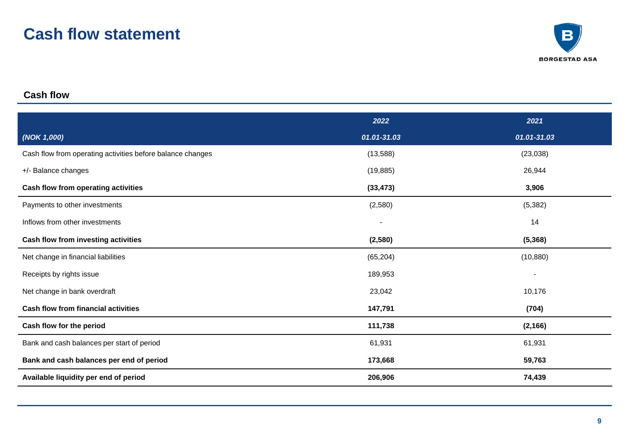# **Cash flow statement**



### **Cash flow**

|                                                            | 2022                     | 2021           |
|------------------------------------------------------------|--------------------------|----------------|
| (NOK 1,000)                                                | 01.01-31.03              | 01.01-31.03    |
| Cash flow from operating activities before balance changes | (13, 588)                | (23, 038)      |
| +/- Balance changes                                        | (19, 885)                | 26,944         |
| Cash flow from operating activities                        | (33, 473)                | 3,906          |
| Payments to other investments                              | (2,580)                  | (5, 382)       |
| Inflows from other investments                             | $\overline{\phantom{a}}$ | 14             |
| Cash flow from investing activities                        | (2,580)                  | (5, 368)       |
| Net change in financial liabilities                        | (65, 204)                | (10, 880)      |
| Receipts by rights issue                                   | 189,953                  | $\overline{a}$ |
| Net change in bank overdraft                               | 23,042                   | 10,176         |
| <b>Cash flow from financial activities</b>                 | 147,791                  | (704)          |
| Cash flow for the period                                   | 111,738                  | (2, 166)       |
| Bank and cash balances per start of period                 | 61,931                   | 61,931         |
| Bank and cash balances per end of period                   | 173,668                  | 59,763         |
| Available liquidity per end of period                      | 206,906                  | 74,439         |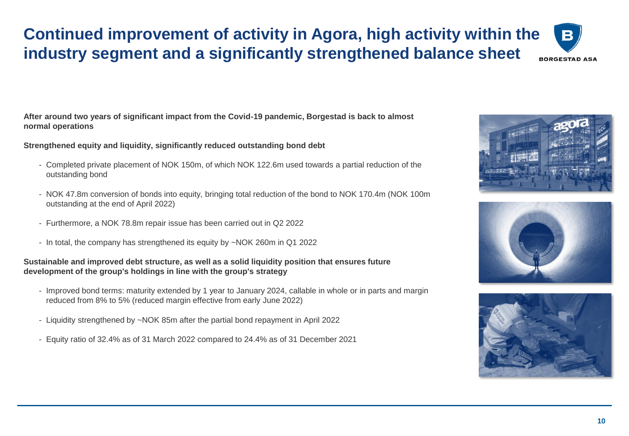## **Continued improvement of activity in Agora, high activity within the industry segment and a significantly strengthened balance sheetBORGESTAD ASA**

**After around two years of significant impact from the Covid-19 pandemic, Borgestad is back to almost normal operations**

**Strengthened equity and liquidity, significantly reduced outstanding bond debt** 

- Completed private placement of NOK 150m, of which NOK 122.6m used towards a partial reduction of the outstanding bond
- NOK 47.8m conversion of bonds into equity, bringing total reduction of the bond to NOK 170.4m (NOK 100m outstanding at the end of April 2022)
- Furthermore, a NOK 78.8m repair issue has been carried out in Q2 2022
- In total, the company has strengthened its equity by ~NOK 260m in Q1 2022

#### **Sustainable and improved debt structure, as well as a solid liquidity position that ensures future development of the group's holdings in line with the group's strategy**

- Improved bond terms: maturity extended by 1 year to January 2024, callable in whole or in parts and margin reduced from 8% to 5% (reduced margin effective from early June 2022)
- Liquidity strengthened by ~NOK 85m after the partial bond repayment in April 2022
- Equity ratio of 32.4% as of 31 March 2022 compared to 24.4% as of 31 December 2021



B